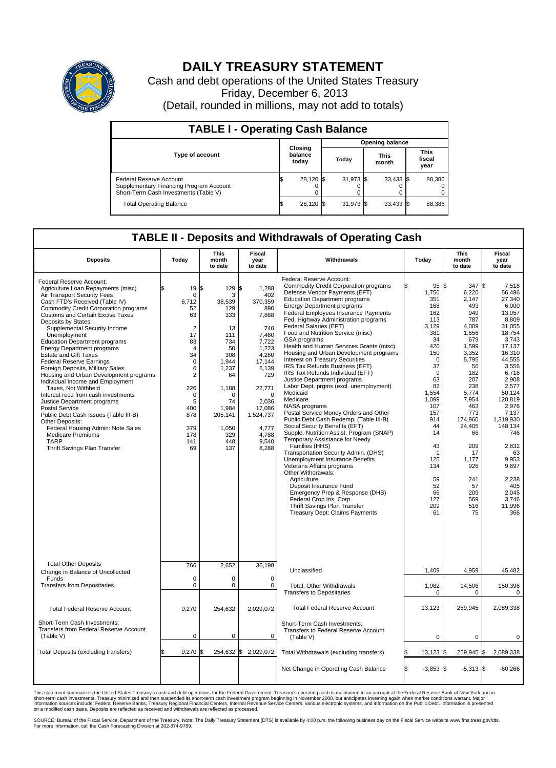

## **DAILY TREASURY STATEMENT**

Cash and debt operations of the United States Treasury Friday, December 6, 2013 (Detail, rounded in millions, may not add to totals)

| <b>TABLE I - Operating Cash Balance</b>                                                                     |                             |           |       |                        |                      |             |                               |        |  |  |
|-------------------------------------------------------------------------------------------------------------|-----------------------------|-----------|-------|------------------------|----------------------|-------------|-------------------------------|--------|--|--|
|                                                                                                             |                             |           |       | <b>Opening balance</b> |                      |             |                               |        |  |  |
| <b>Type of account</b>                                                                                      | Closing<br>balance<br>today |           | Today |                        | <b>This</b><br>month |             | <b>This</b><br>fiscal<br>year |        |  |  |
| Federal Reserve Account<br>Supplementary Financing Program Account<br>Short-Term Cash Investments (Table V) |                             | 28.120 \$ |       | $31,973$ \$            |                      | $33,433$ \$ |                               | 88,386 |  |  |
| <b>Total Operating Balance</b>                                                                              |                             | 28,120 \$ |       | 31,973 \$              |                      | $33,433$ \$ |                               | 88,386 |  |  |

## **TABLE II - Deposits and Withdrawals of Operating Cash**

| <b>Deposits</b>                                                                                                                                                                                                                                                                                                                                                                                                                                                                                                                                                                                                                                                                                                                                                                                                                                                       | Today                                                                                                                                                                                                       | This<br>month<br>to date                                                                                                                                              | Fiscal<br>year<br>to date                                                                                                                                                                                    | Withdrawals                                                                                                                                                                                                                                                                                                                                                                                                                                                                                                                                                                                                                                                                                                                                                                                                                                                                                                                                                                                                                                                                                                                                                                                              | Today                                                                                                                                                                                                                                          | <b>This</b><br>month<br>to date                                                                                                                                                                                                                           | Fiscal<br>year<br>to date                                                                                                                                                                                                                                                                                             |
|-----------------------------------------------------------------------------------------------------------------------------------------------------------------------------------------------------------------------------------------------------------------------------------------------------------------------------------------------------------------------------------------------------------------------------------------------------------------------------------------------------------------------------------------------------------------------------------------------------------------------------------------------------------------------------------------------------------------------------------------------------------------------------------------------------------------------------------------------------------------------|-------------------------------------------------------------------------------------------------------------------------------------------------------------------------------------------------------------|-----------------------------------------------------------------------------------------------------------------------------------------------------------------------|--------------------------------------------------------------------------------------------------------------------------------------------------------------------------------------------------------------|----------------------------------------------------------------------------------------------------------------------------------------------------------------------------------------------------------------------------------------------------------------------------------------------------------------------------------------------------------------------------------------------------------------------------------------------------------------------------------------------------------------------------------------------------------------------------------------------------------------------------------------------------------------------------------------------------------------------------------------------------------------------------------------------------------------------------------------------------------------------------------------------------------------------------------------------------------------------------------------------------------------------------------------------------------------------------------------------------------------------------------------------------------------------------------------------------------|------------------------------------------------------------------------------------------------------------------------------------------------------------------------------------------------------------------------------------------------|-----------------------------------------------------------------------------------------------------------------------------------------------------------------------------------------------------------------------------------------------------------|-----------------------------------------------------------------------------------------------------------------------------------------------------------------------------------------------------------------------------------------------------------------------------------------------------------------------|
| Federal Reserve Account:<br>Agriculture Loan Repayments (misc)<br>Air Transport Security Fees<br>Cash FTD's Received (Table IV)<br><b>Commodity Credit Corporation programs</b><br><b>Customs and Certain Excise Taxes</b><br>Deposits by States:<br>Supplemental Security Income<br>Unemployment<br><b>Education Department programs</b><br><b>Energy Department programs</b><br><b>Estate and Gift Taxes</b><br><b>Federal Reserve Earnings</b><br>Foreign Deposits, Military Sales<br>Housing and Urban Development programs<br>Individual Income and Employment<br>Taxes. Not Withheld<br>Interest recd from cash investments<br>Justice Department programs<br><b>Postal Service</b><br>Public Debt Cash Issues (Table III-B)<br>Other Deposits:<br>Federal Housing Admin: Note Sales<br><b>Medicare Premiums</b><br><b>TARP</b><br>Thrift Savings Plan Transfer | \$<br>19<br>0<br>6,712<br>52<br>63<br>$\overline{2}$<br>17<br>83<br>$\overline{4}$<br>34<br>$\mathbf 0$<br>6<br>$\overline{\mathbf{c}}$<br>226<br>$\mathbf 0$<br>5<br>400<br>878<br>379<br>178<br>141<br>69 | \$<br>129<br>3<br>38,539<br>129<br>333<br>13<br>111<br>734<br>50<br>308<br>1,944<br>1.237<br>64<br>1,188<br>O<br>74<br>1,984<br>205,141<br>1,050<br>329<br>448<br>137 | S.<br>1,288<br>402<br>370,359<br>890<br>7,888<br>740<br>7,460<br>7,722<br>1,223<br>4,260<br>17,144<br>6,139<br>729<br>22,771<br>$\Omega$<br>2,036<br>17,086<br>1,524,737<br>4,777<br>4,788<br>9.540<br>8,288 | Federal Reserve Account:<br><b>Commodity Credit Corporation programs</b><br>Defense Vendor Payments (EFT)<br><b>Education Department programs</b><br><b>Energy Department programs</b><br><b>Federal Employees Insurance Payments</b><br>Fed. Highway Administration programs<br>Federal Salaries (EFT)<br>Food and Nutrition Service (misc)<br>GSA programs<br>Health and Human Services Grants (misc)<br>Housing and Urban Development programs<br>Interest on Treasury Securities<br>IRS Tax Refunds Business (EFT)<br>IRS Tax Refunds Individual (EFT)<br>Justice Department programs<br>Labor Dept. prgms (excl. unemployment)<br>Medicaid<br>Medicare<br>NASA programs<br>Postal Service Money Orders and Other<br>Public Debt Cash Redemp. (Table III-B)<br>Social Security Benefits (EFT)<br>Supple. Nutrition Assist. Program (SNAP)<br>Temporary Assistance for Needy<br>Families (HHS)<br>Transportation Security Admin. (DHS)<br>Unemployment Insurance Benefits<br>Veterans Affairs programs<br>Other Withdrawals:<br>Agriculture<br>Deposit Insurance Fund<br>Emergency Prep & Response (DHS)<br>Federal Crop Ins. Corp.<br>Thrift Savings Plan Transfer<br>Treasury Dept: Claims Payments | 95S<br>1,756<br>351<br>168<br>162<br>113<br>3.129<br>381<br>34<br>420<br>150<br>$\mathbf 0$<br>37<br>9<br>63<br>82<br>1,554<br>1,099<br>107<br>157<br>914<br>44<br>14<br>43<br>$\mathbf 1$<br>125<br>134<br>59<br>52<br>66<br>127<br>209<br>61 | 347<br>6,220<br>2,147<br>493<br>949<br>787<br>4.009<br>1,656<br>679<br>1,599<br>3,352<br>5,795<br>56<br>182<br>207<br>238<br>5,774<br>7,954<br>463<br>773<br>174.960<br>24,405<br>66<br>209<br>17<br>1,177<br>926<br>241<br>57<br>209<br>569<br>516<br>75 | l\$<br>7,518<br>56.496<br>27.340<br>6,000<br>13.057<br>8,809<br>31.055<br>18,754<br>3.743<br>17,137<br>16,310<br>44,555<br>3,556<br>6.716<br>2,908<br>2,577<br>50,124<br>120.819<br>2,976<br>7,137<br>1.319.930<br>148,134<br>746<br>2,832<br>63<br>9,953<br>9,697<br>2.238<br>405<br>2.045<br>3.746<br>11,996<br>366 |
| <b>Total Other Deposits</b>                                                                                                                                                                                                                                                                                                                                                                                                                                                                                                                                                                                                                                                                                                                                                                                                                                           | 766                                                                                                                                                                                                         | 2,652                                                                                                                                                                 | 36,198                                                                                                                                                                                                       | Unclassified                                                                                                                                                                                                                                                                                                                                                                                                                                                                                                                                                                                                                                                                                                                                                                                                                                                                                                                                                                                                                                                                                                                                                                                             | 1,409                                                                                                                                                                                                                                          | 4,959                                                                                                                                                                                                                                                     | 45,482                                                                                                                                                                                                                                                                                                                |
| Change in Balance of Uncollected<br>Funds<br><b>Transfers from Depositaries</b>                                                                                                                                                                                                                                                                                                                                                                                                                                                                                                                                                                                                                                                                                                                                                                                       | $\mathbf 0$<br>$\mathbf 0$                                                                                                                                                                                  | 0<br>0                                                                                                                                                                | $\mathbf 0$<br>0                                                                                                                                                                                             | Total, Other Withdrawals                                                                                                                                                                                                                                                                                                                                                                                                                                                                                                                                                                                                                                                                                                                                                                                                                                                                                                                                                                                                                                                                                                                                                                                 | 1,982                                                                                                                                                                                                                                          | 14,506                                                                                                                                                                                                                                                    | 150,396                                                                                                                                                                                                                                                                                                               |
|                                                                                                                                                                                                                                                                                                                                                                                                                                                                                                                                                                                                                                                                                                                                                                                                                                                                       |                                                                                                                                                                                                             |                                                                                                                                                                       |                                                                                                                                                                                                              | <b>Transfers to Depositaries</b>                                                                                                                                                                                                                                                                                                                                                                                                                                                                                                                                                                                                                                                                                                                                                                                                                                                                                                                                                                                                                                                                                                                                                                         | $\mathbf 0$                                                                                                                                                                                                                                    | $\mathbf 0$                                                                                                                                                                                                                                               | $\pmb{0}$                                                                                                                                                                                                                                                                                                             |
| <b>Total Federal Reserve Account</b>                                                                                                                                                                                                                                                                                                                                                                                                                                                                                                                                                                                                                                                                                                                                                                                                                                  | 9,270                                                                                                                                                                                                       | 254,632                                                                                                                                                               | 2,029,072                                                                                                                                                                                                    | <b>Total Federal Reserve Account</b>                                                                                                                                                                                                                                                                                                                                                                                                                                                                                                                                                                                                                                                                                                                                                                                                                                                                                                                                                                                                                                                                                                                                                                     | 13,123                                                                                                                                                                                                                                         | 259,945                                                                                                                                                                                                                                                   | 2,089,338                                                                                                                                                                                                                                                                                                             |
| Short-Term Cash Investments:<br>Transfers from Federal Reserve Account<br>(Table V)                                                                                                                                                                                                                                                                                                                                                                                                                                                                                                                                                                                                                                                                                                                                                                                   | $\mathbf 0$                                                                                                                                                                                                 | 0                                                                                                                                                                     | 0                                                                                                                                                                                                            | Short-Term Cash Investments:<br>Transfers to Federal Reserve Account<br>(Table V)                                                                                                                                                                                                                                                                                                                                                                                                                                                                                                                                                                                                                                                                                                                                                                                                                                                                                                                                                                                                                                                                                                                        | $\mathbf 0$                                                                                                                                                                                                                                    | $\mathbf 0$                                                                                                                                                                                                                                               | $\mathbf 0$                                                                                                                                                                                                                                                                                                           |
| Total Deposits (excluding transfers)                                                                                                                                                                                                                                                                                                                                                                                                                                                                                                                                                                                                                                                                                                                                                                                                                                  | 9,270<br>\$                                                                                                                                                                                                 | l\$                                                                                                                                                                   | 254,632 \$ 2,029,072                                                                                                                                                                                         | Total Withdrawals (excluding transfers)                                                                                                                                                                                                                                                                                                                                                                                                                                                                                                                                                                                                                                                                                                                                                                                                                                                                                                                                                                                                                                                                                                                                                                  | $13,123$ \$<br>ß.                                                                                                                                                                                                                              | 259,945 \$                                                                                                                                                                                                                                                | 2,089,338                                                                                                                                                                                                                                                                                                             |
|                                                                                                                                                                                                                                                                                                                                                                                                                                                                                                                                                                                                                                                                                                                                                                                                                                                                       |                                                                                                                                                                                                             |                                                                                                                                                                       |                                                                                                                                                                                                              | Net Change in Operating Cash Balance                                                                                                                                                                                                                                                                                                                                                                                                                                                                                                                                                                                                                                                                                                                                                                                                                                                                                                                                                                                                                                                                                                                                                                     | l\$<br>$-3,853$ \$                                                                                                                                                                                                                             | $-5,313$ \$                                                                                                                                                                                                                                               | $-60,266$                                                                                                                                                                                                                                                                                                             |

This statement summarizes the United States Treasury's cash and debt operations for the Federal Government. Treasury's operating cash is maintained in an account at the Federal Reserve Bank of New York and in<br>short-term ca

SOURCE: Bureau of the Fiscal Service, Department of the Treasury. Note: The Daily Treasury Statement (DTS) is available by 4:00 p.m. the following business day on the Fiscal Service website www.fms.treas.gov/dts.<br>For more